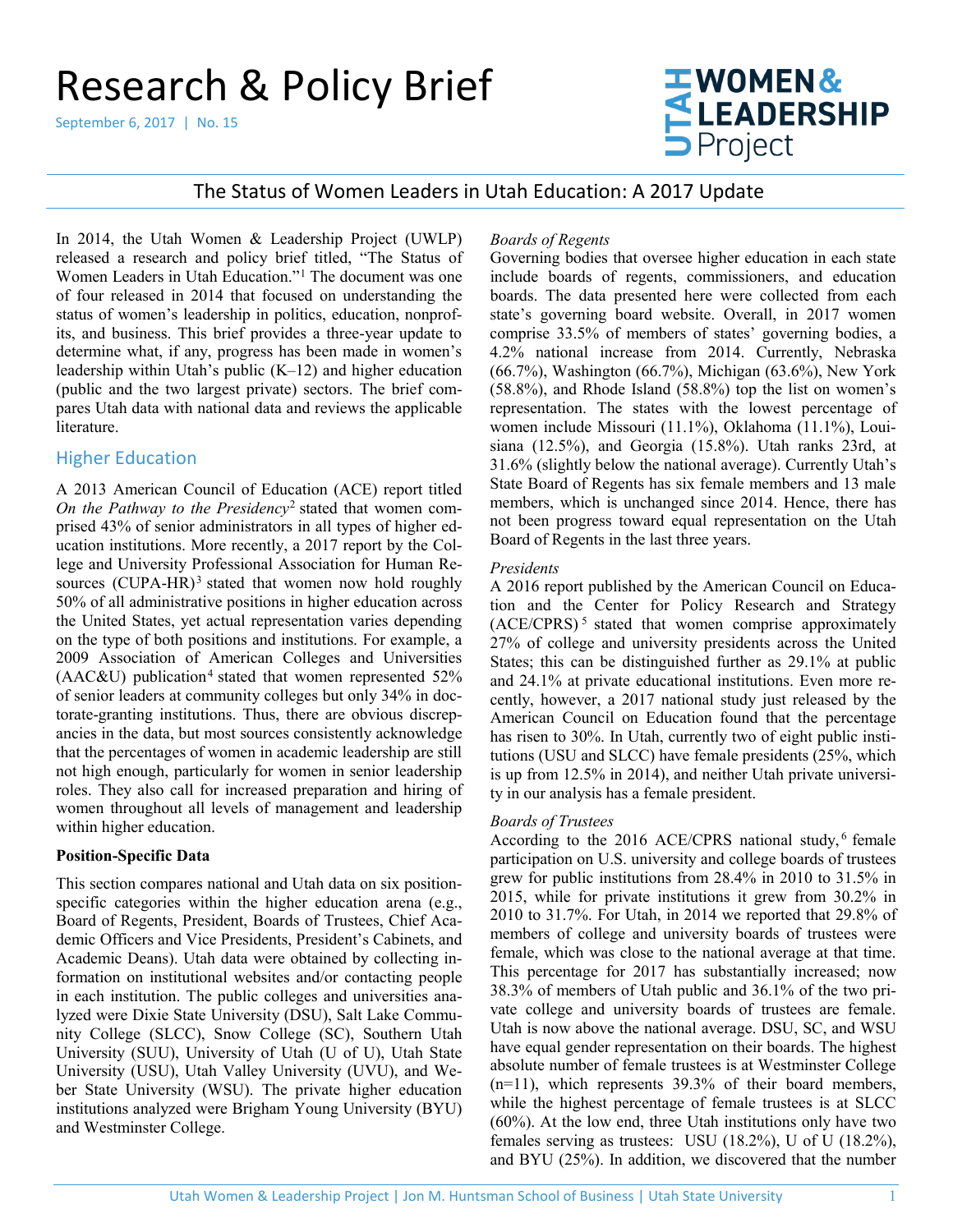# Research & Policy Brief

September 6, 2017 | No. 15



The Status of Women Leaders in Utah Education: A 2017 Update

In 2014, the Utah Women & Leadership Project (UWLP) released a research and policy brief titled, "The Status of Women Leaders in Utah Education."[1](#page-4-0) The document was one of four released in 2014 that focused on understanding the status of women's leadership in politics, education, nonprofits, and business. This brief provides a three-year update to determine what, if any, progress has been made in women's leadership within Utah's public (K–12) and higher education (public and the two largest private) sectors. The brief compares Utah data with national data and reviews the applicable literature.

# Higher Education

A 2013 American Council of Education (ACE) report titled *On the Pathway to the Presidency*[2](#page-4-1) stated that women comprised 43% of senior administrators in all types of higher education institutions. More recently, a 2017 report by the College and University Professional Association for Human Re-sources (CUPA-HR)<sup>[3](#page-4-2)</sup> stated that women now hold roughly 50% of all administrative positions in higher education across the United States, yet actual representation varies depending on the type of both positions and institutions. For example, a 2009 Association of American Colleges and Universities  $(AAC&U)$  publication<sup>[4](#page-4-3)</sup> stated that women represented 52% of senior leaders at community colleges but only 34% in doctorate-granting institutions. Thus, there are obvious discrepancies in the data, but most sources consistently acknowledge that the percentages of women in academic leadership are still not high enough, particularly for women in senior leadership roles. They also call for increased preparation and hiring of women throughout all levels of management and leadership within higher education.

## **Position-Specific Data**

This section compares national and Utah data on six positionspecific categories within the higher education arena (e.g., Board of Regents, President, Boards of Trustees, Chief Academic Officers and Vice Presidents, President's Cabinets, and Academic Deans). Utah data were obtained by collecting information on institutional websites and/or contacting people in each institution. The public colleges and universities analyzed were Dixie State University (DSU), Salt Lake Community College (SLCC), Snow College (SC), Southern Utah University (SUU), University of Utah (U of U), Utah State University (USU), Utah Valley University (UVU), and Weber State University (WSU). The private higher education institutions analyzed were Brigham Young University (BYU) and Westminster College.

## *Boards of Regents*

Governing bodies that oversee higher education in each state include boards of regents, commissioners, and education boards. The data presented here were collected from each state's governing board website. Overall, in 2017 women comprise 33.5% of members of states' governing bodies, a 4.2% national increase from 2014. Currently, Nebraska (66.7%), Washington (66.7%), Michigan (63.6%), New York (58.8%), and Rhode Island (58.8%) top the list on women's representation. The states with the lowest percentage of women include Missouri (11.1%), Oklahoma (11.1%), Louisiana (12.5%), and Georgia (15.8%). Utah ranks 23rd, at 31.6% (slightly below the national average). Currently Utah's State Board of Regents has six female members and 13 male members, which is unchanged since 2014. Hence, there has not been progress toward equal representation on the Utah Board of Regents in the last three years.

## *Presidents*

A 2016 report published by the American Council on Education and the Center for Policy Research and Strategy (ACE/CPRS) [5](#page-4-4) stated that women comprise approximately 27% of college and university presidents across the United States; this can be distinguished further as 29.1% at public and 24.1% at private educational institutions. Even more recently, however, a 2017 national study just released by the American Council on Education found that the percentage has risen to 30%. In Utah, currently two of eight public institutions (USU and SLCC) have female presidents (25%, which is up from 12.5% in 2014), and neither Utah private university in our analysis has a female president.

## *Boards of Trustees*

According to the 2016 ACE/CPRS national study, [6](#page-4-5) female participation on U.S. university and college boards of trustees grew for public institutions from 28.4% in 2010 to 31.5% in 2015, while for private institutions it grew from 30.2% in 2010 to 31.7%. For Utah, in 2014 we reported that 29.8% of members of college and university boards of trustees were female, which was close to the national average at that time. This percentage for 2017 has substantially increased; now 38.3% of members of Utah public and 36.1% of the two private college and university boards of trustees are female. Utah is now above the national average. DSU, SC, and WSU have equal gender representation on their boards. The highest absolute number of female trustees is at Westminster College (n=11), which represents 39.3% of their board members, while the highest percentage of female trustees is at SLCC (60%). At the low end, three Utah institutions only have two females serving as trustees: USU (18.2%), U of U (18.2%), and BYU (25%). In addition, we discovered that the number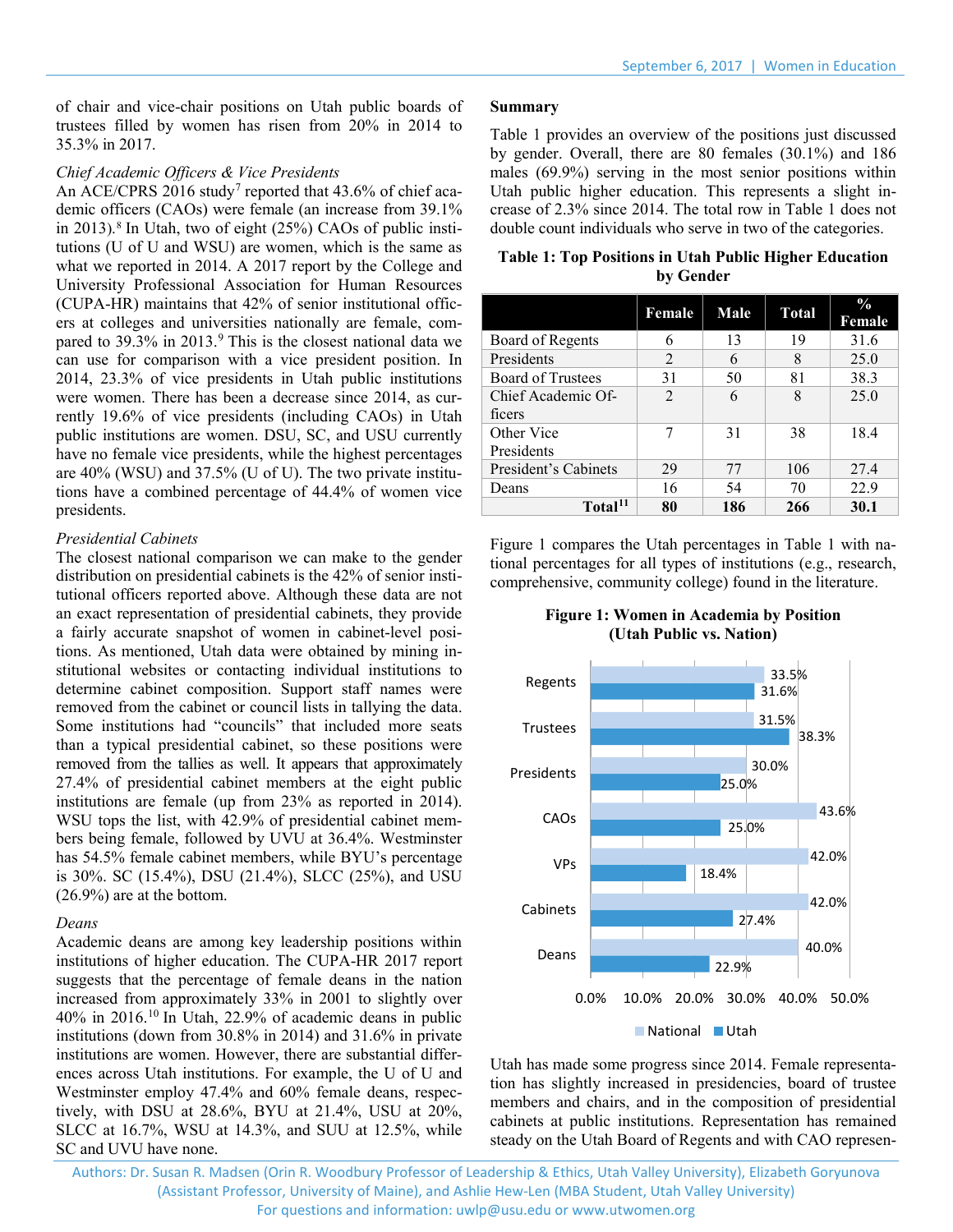of chair and vice-chair positions on Utah public boards of trustees filled by women has risen from 20% in 2014 to 35.3% in 2017.

#### *Chief Academic Officers & Vice Presidents*

An ACE/CPRS 2016 study<sup>[7](#page-4-6)</sup> reported that 43.6% of chief academic officers (CAOs) were female (an increase from 39.1% in 2013).<sup>[8](#page-4-7)</sup> In Utah, two of eight (25%) CAOs of public institutions (U of U and WSU) are women, which is the same as what we reported in 2014. A 2017 report by the College and University Professional Association for Human Resources (CUPA-HR) maintains that 42% of senior institutional officers at colleges and universities nationally are female, com-pared to 3[9](#page-4-8).3% in 2013.<sup>9</sup> This is the closest national data we can use for comparison with a vice president position. In 2014, 23.3% of vice presidents in Utah public institutions were women. There has been a decrease since 2014, as currently 19.6% of vice presidents (including CAOs) in Utah public institutions are women. DSU, SC, and USU currently have no female vice presidents, while the highest percentages are 40% (WSU) and 37.5% (U of U). The two private institutions have a combined percentage of 44.4% of women vice presidents.

#### *Presidential Cabinets*

The closest national comparison we can make to the gender distribution on presidential cabinets is the 42% of senior institutional officers reported above. Although these data are not an exact representation of presidential cabinets, they provide a fairly accurate snapshot of women in cabinet-level positions. As mentioned, Utah data were obtained by mining institutional websites or contacting individual institutions to determine cabinet composition. Support staff names were removed from the cabinet or council lists in tallying the data. Some institutions had "councils" that included more seats than a typical presidential cabinet, so these positions were removed from the tallies as well. It appears that approximately 27.4% of presidential cabinet members at the eight public institutions are female (up from 23% as reported in 2014). WSU tops the list, with 42.9% of presidential cabinet members being female, followed by UVU at 36.4%. Westminster has 54.5% female cabinet members, while BYU's percentage is 30%. SC (15.4%), DSU (21.4%), SLCC (25%), and USU (26.9%) are at the bottom.

## *Deans*

Academic deans are among key leadership positions within institutions of higher education. The CUPA-HR 2017 report suggests that the percentage of female deans in the nation increased from approximately 33% in 2001 to slightly over 40% in 2016.[10](#page-4-9) In Utah, 22.9% of academic deans in public institutions (down from 30.8% in 2014) and 31.6% in private institutions are women. However, there are substantial differences across Utah institutions. For example, the U of U and Westminster employ 47.4% and 60% female deans, respectively, with DSU at 28.6%, BYU at 21.4%, USU at 20%, SLCC at 16.7%, WSU at 14.3%, and SUU at 12.5%, while SC and UVU have none.

#### **Summary**

Table 1 provides an overview of the positions just discussed by gender. Overall, there are 80 females (30.1%) and 186 males (69.9%) serving in the most senior positions within Utah public higher education. This represents a slight increase of 2.3% since 2014. The total row in Table 1 does not double count individuals who serve in two of the categories.

| <b>Table 1: Top Positions in Utah Public Higher Education</b> |
|---------------------------------------------------------------|
| by Gender                                                     |

|                      | Female         | Male | <b>Total</b> | $\frac{0}{0}$<br>Female |
|----------------------|----------------|------|--------------|-------------------------|
| Board of Regents     | 6              | 13   | 19           | 31.6                    |
| Presidents           | 2              | 6    | 8            | 25.0                    |
| Board of Trustees    | 31             | 50   | 81           | 38.3                    |
| Chief Academic Of-   | $\mathfrak{D}$ | 6    | 8            | 25.0                    |
| ficers               |                |      |              |                         |
| Other Vice           | 7              | 31   | 38           | 18.4                    |
| Presidents           |                |      |              |                         |
| President's Cabinets | 29             | 77   | 106          | 27.4                    |
| Deans                | 16             | 54   | 70           | 22.9                    |
| Total <sup>11</sup>  | 80             | 186  | 266          | 30.1                    |

Figure 1 compares the Utah percentages in Table 1 with national percentages for all types of institutions (e.g., research, comprehensive, community college) found in the literature.

**Figure 1: Women in Academia by Position (Utah Public vs. Nation)** 



Utah has made some progress since 2014. Female representation has slightly increased in presidencies, board of trustee members and chairs, and in the composition of presidential cabinets at public institutions. Representation has remained steady on the Utah Board of Regents and with CAO represen-

Authors: Dr. Susan R. Madsen (Orin R. Woodbury Professor of Leadership & Ethics, Utah Valley University), Elizabeth Goryunova (Assistant Professor, University of Maine), and Ashlie Hew-Len (MBA Student, Utah Valley University) For questions and information: [uwlp@usu.edu](mailto:uwlp@usu.edu) or [www.utwomen.org](http://www.utwomen.org/)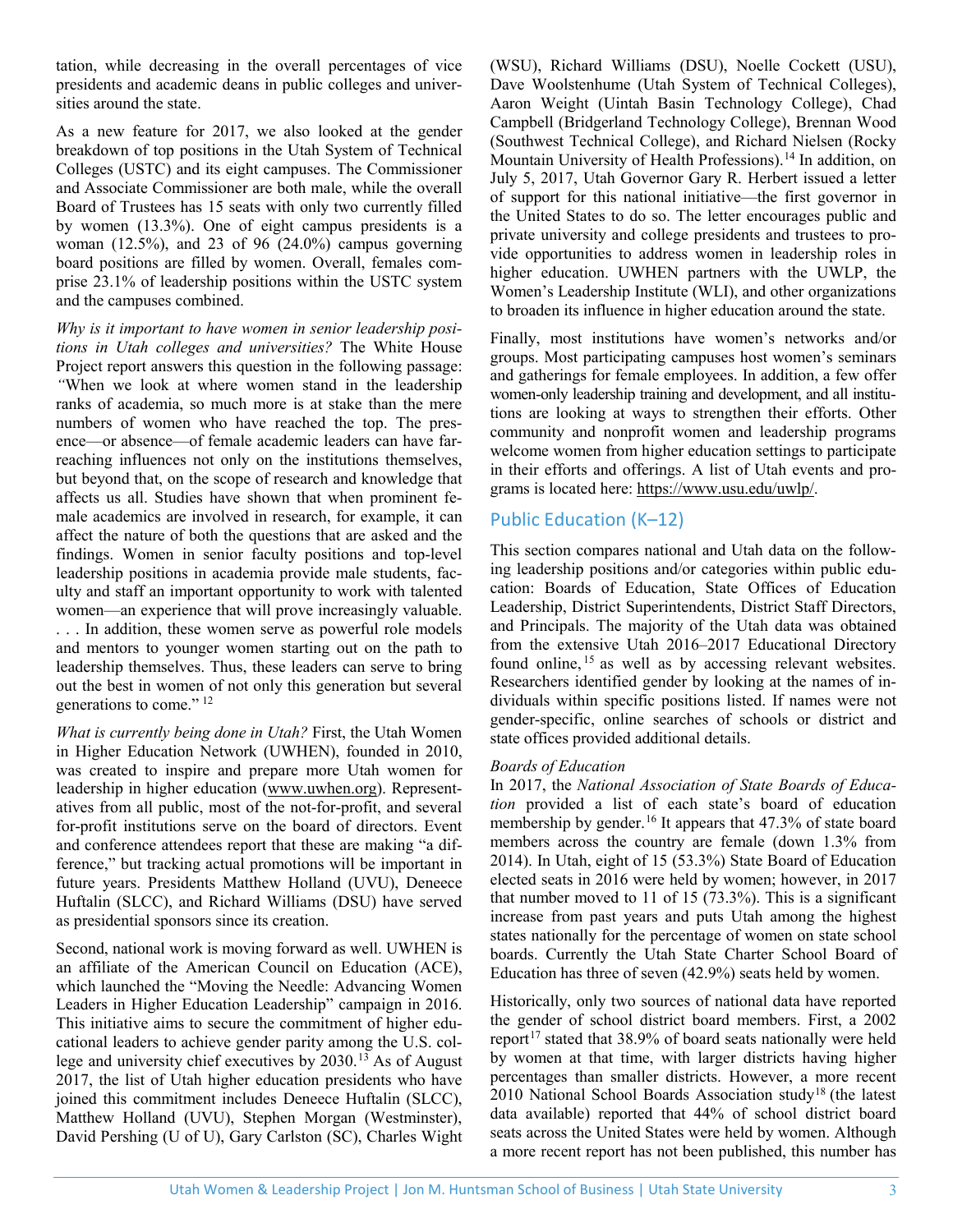tation, while decreasing in the overall percentages of vice presidents and academic deans in public colleges and universities around the state.

As a new feature for 2017, we also looked at the gender breakdown of top positions in the Utah System of Technical Colleges (USTC) and its eight campuses. The Commissioner and Associate Commissioner are both male, while the overall Board of Trustees has 15 seats with only two currently filled by women (13.3%). One of eight campus presidents is a woman (12.5%), and 23 of 96 (24.0%) campus governing board positions are filled by women. Overall, females comprise 23.1% of leadership positions within the USTC system and the campuses combined.

*Why is it important to have women in senior leadership positions in Utah colleges and universities?* The White House Project report answers this question in the following passage: *"*When we look at where women stand in the leadership ranks of academia, so much more is at stake than the mere numbers of women who have reached the top. The presence—or absence—of female academic leaders can have farreaching influences not only on the institutions themselves, but beyond that, on the scope of research and knowledge that affects us all. Studies have shown that when prominent female academics are involved in research, for example, it can affect the nature of both the questions that are asked and the findings. Women in senior faculty positions and top-level leadership positions in academia provide male students, faculty and staff an important opportunity to work with talented women—an experience that will prove increasingly valuable. . . . In addition, these women serve as powerful role models and mentors to younger women starting out on the path to leadership themselves. Thus, these leaders can serve to bring out the best in women of not only this generation but several generations to come." [12](#page-4-11)

*What is currently being done in Utah?* First, the Utah Women in Higher Education Network (UWHEN), founded in 2010, was created to inspire and prepare more Utah women for leadership in higher education [\(www.uwhen.org\)](http://www.uwhen.org/). Representatives from all public, most of the not-for-profit, and several for-profit institutions serve on the board of directors. Event and conference attendees report that these are making "a difference," but tracking actual promotions will be important in future years. Presidents Matthew Holland (UVU), Deneece Huftalin (SLCC), and Richard Williams (DSU) have served as presidential sponsors since its creation.

Second, national work is moving forward as well. UWHEN is an affiliate of the American Council on Education (ACE), which launched the "Moving the Needle: Advancing Women Leaders in Higher Education Leadership" campaign in 2016. This initiative aims to secure the commitment of higher educational leaders to achieve gender parity among the U.S. college and university chief executives by 2030.[13](#page-5-0) As of August 2017, the list of Utah higher education presidents who have joined this commitment includes Deneece Huftalin (SLCC), Matthew Holland (UVU), Stephen Morgan (Westminster), David Pershing (U of U), Gary Carlston (SC), Charles Wight (WSU), Richard Williams (DSU), Noelle Cockett (USU), Dave Woolstenhume (Utah System of Technical Colleges), Aaron Weight (Uintah Basin Technology College), Chad Campbell (Bridgerland Technology College), Brennan Wood (Southwest Technical College), and Richard Nielsen (Rocky Mountain University of Health Professions).<sup>[14](#page-5-1)</sup> In addition, on July 5, 2017, Utah Governor Gary R. Herbert issued a letter of support for this national initiative—the first governor in the United States to do so. The letter encourages public and private university and college presidents and trustees to provide opportunities to address women in leadership roles in higher education. UWHEN partners with the UWLP, the Women's Leadership Institute (WLI), and other organizations to broaden its influence in higher education around the state.

Finally, most institutions have women's networks and/or groups. Most participating campuses host women's seminars and gatherings for female employees. In addition, a few offer women-only leadership training and development, and all institutions are looking at ways to strengthen their efforts. Other community and nonprofit women and leadership programs welcome women from higher education settings to participate in their efforts and offerings. A list of Utah events and programs is located here: [https://www.usu.edu/uwlp/.](https://www.usu.edu/uwlp/events/upcoming-events)

# Public Education (K–12)

This section compares national and Utah data on the following leadership positions and/or categories within public education: Boards of Education, State Offices of Education Leadership, District Superintendents, District Staff Directors, and Principals. The majority of the Utah data was obtained from the extensive Utah 2016–2017 Educational Directory found online, [15](#page-5-2) as well as by accessing relevant websites. Researchers identified gender by looking at the names of individuals within specific positions listed. If names were not gender-specific, online searches of schools or district and state offices provided additional details.

## *Boards of Education*

In 2017, the *National Association of State Boards of Education* provided a list of each state's board of education membership by gender.<sup>[16](#page-5-3)</sup> It appears that 47.3% of state board members across the country are female (down 1.3% from 2014). In Utah, eight of 15 (53.3%) State Board of Education elected seats in 2016 were held by women; however, in 2017 that number moved to 11 of 15 (73.3%). This is a significant increase from past years and puts Utah among the highest states nationally for the percentage of women on state school boards. Currently the Utah State Charter School Board of Education has three of seven (42.9%) seats held by women.

Historically, only two sources of national data have reported the gender of school district board members. First, a 2002 report<sup>[17](#page-5-4)</sup> stated that  $38.9\%$  of board seats nationally were held by women at that time, with larger districts having higher percentages than smaller districts. However, a more recent 2010 National School Boards Association study[18](#page-5-5) (the latest data available) reported that 44% of school district board seats across the United States were held by women. Although a more recent report has not been published, this number has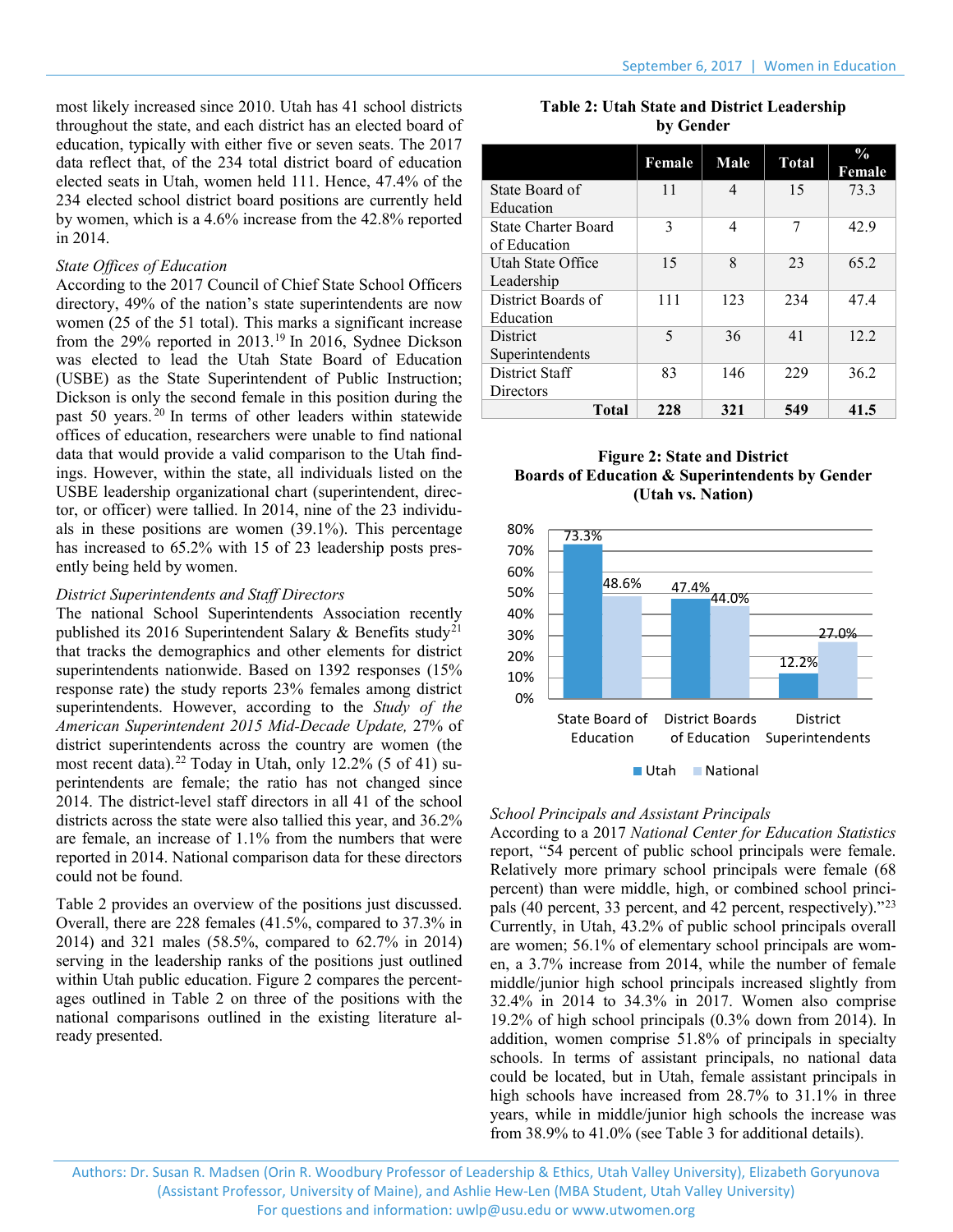most likely increased since 2010. Utah has 41 school districts throughout the state, and each district has an elected board of education, typically with either five or seven seats. The 2017 data reflect that, of the 234 total district board of education elected seats in Utah, women held 111. Hence, 47.4% of the 234 elected school district board positions are currently held by women, which is a 4.6% increase from the 42.8% reported in 2014.

## *State Offices of Education*

According to the 2017 Council of Chief State School Officers directory, 49% of the nation's state superintendents are now women (25 of the 51 total). This marks a significant increase from the 29% reported in 2013.<sup>[19](#page-5-6)</sup> In 2016, Sydnee Dickson was elected to lead the Utah State Board of Education (USBE) as the State Superintendent of Public Instruction; Dickson is only the second female in this position during the past 50 years. [20](#page-5-7) In terms of other leaders within statewide offices of education, researchers were unable to find national data that would provide a valid comparison to the Utah findings. However, within the state, all individuals listed on the USBE leadership organizational chart (superintendent, director, or officer) were tallied. In 2014, nine of the 23 individuals in these positions are women (39.1%). This percentage has increased to 65.2% with 15 of 23 leadership posts presently being held by women.

## *District Superintendents and Staff Directors*

The national School Superintendents Association recently published its 2016 Superintendent Salary & Benefits study<sup>[21](#page-5-8)</sup> that tracks the demographics and other elements for district superintendents nationwide. Based on 1392 responses (15% response rate) the study reports 23% females among district superintendents. However, according to the *Study of the American Superintendent 2015 Mid-Decade Update,* 27% of district superintendents across the country are women (the most recent data).[22](#page-5-9) Today in Utah, only 12.2% (5 of 41) superintendents are female; the ratio has not changed since 2014. The district-level staff directors in all 41 of the school districts across the state were also tallied this year, and 36.2% are female, an increase of 1.1% from the numbers that were reported in 2014. National comparison data for these directors could not be found.

Table 2 provides an overview of the positions just discussed. Overall, there are 228 females (41.5%, compared to 37.3% in 2014) and 321 males (58.5%, compared to 62.7% in 2014) serving in the leadership ranks of the positions just outlined within Utah public education. Figure 2 compares the percentages outlined in Table 2 on three of the positions with the national comparisons outlined in the existing literature already presented.

|           |  |  |  | <b>Table 2: Utah State and District Leadership</b> |
|-----------|--|--|--|----------------------------------------------------|
| by Gender |  |  |  |                                                    |

|                            | Female | Male                     | <b>Total</b> | $\frac{0}{0}$<br>Female |
|----------------------------|--------|--------------------------|--------------|-------------------------|
| State Board of             | 11     | $\overline{\mathcal{A}}$ | 15           | 73.3                    |
| Education                  |        |                          |              |                         |
| <b>State Charter Board</b> | 3      | 4                        | 7            | 42.9                    |
| of Education               |        |                          |              |                         |
| Utah State Office          | 15     | $\mathsf{\ }$            | 23           | 65.2                    |
| Leadership                 |        |                          |              |                         |
| District Boards of         | 111    | 123                      | 234          | 47.4                    |
| Education                  |        |                          |              |                         |
| <b>District</b>            | 5      | 36                       | 41           | 12.2                    |
| Superintendents            |        |                          |              |                         |
| District Staff             | 83     | 146                      | 229          | 36.2                    |
| <b>Directors</b>           |        |                          |              |                         |
| <b>Total</b>               | 228    | 321                      | 549          | 41.5                    |

## **Figure 2: State and District Boards of Education & Superintendents by Gender (Utah vs. Nation)**



# *School Principals and Assistant Principals*

According to a 2017 *National Center for Education Statistics* report, "54 percent of public school principals were female. Relatively more primary school principals were female (68 percent) than were middle, high, or combined school principals (40 percent, 33 percent, and 42 percent, respectively)."[23](#page-5-10) Currently, in Utah, 43.2% of public school principals overall are women; 56.1% of elementary school principals are women, a 3.7% increase from 2014, while the number of female middle/junior high school principals increased slightly from 32.4% in 2014 to 34.3% in 2017. Women also comprise 19.2% of high school principals (0.3% down from 2014). In addition, women comprise 51.8% of principals in specialty schools. In terms of assistant principals, no national data could be located, but in Utah, female assistant principals in high schools have increased from 28.7% to 31.1% in three years, while in middle/junior high schools the increase was from 38.9% to 41.0% (see Table 3 for additional details).

Authors: Dr. Susan R. Madsen (Orin R. Woodbury Professor of Leadership & Ethics, Utah Valley University), Elizabeth Goryunova (Assistant Professor, University of Maine), and Ashlie Hew-Len (MBA Student, Utah Valley University) For questions and information: [uwlp@usu.edu](mailto:uwlp@usu.edu) or [www.utwomen.org](http://www.utwomen.org/)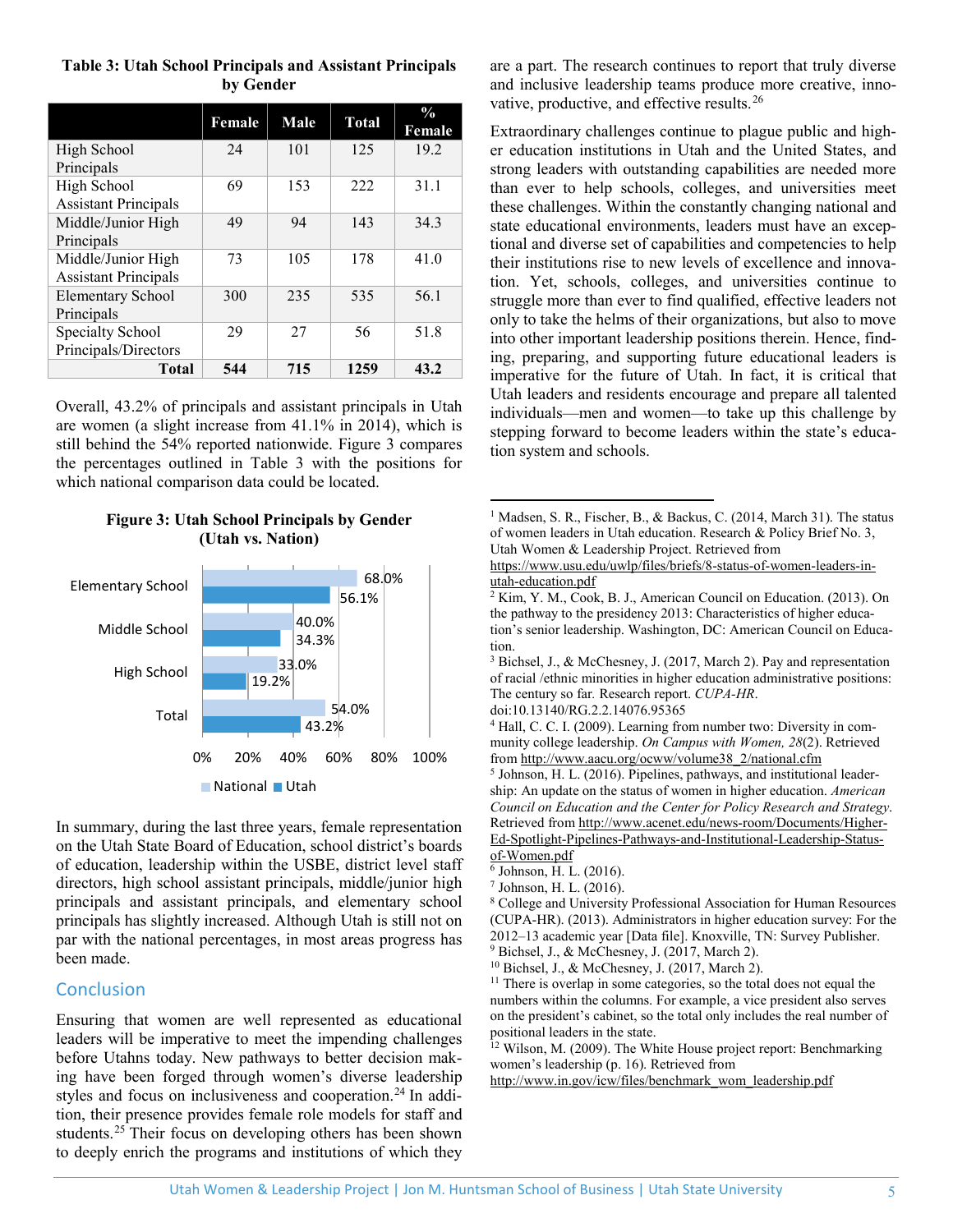|                             | Female | Male | <b>Total</b> | $\frac{0}{0}$<br>Female |
|-----------------------------|--------|------|--------------|-------------------------|
| High School                 | 24     | 101  | 125          | 19.2                    |
| Principals                  |        |      |              |                         |
| High School                 | 69     | 153  | 222          | 31.1                    |
| <b>Assistant Principals</b> |        |      |              |                         |
| Middle/Junior High          | 49     | 94   | 143          | 34.3                    |
| Principals                  |        |      |              |                         |
| Middle/Junior High          | 73     | 105  | 178          | 41.0                    |
| <b>Assistant Principals</b> |        |      |              |                         |
| <b>Elementary School</b>    | 300    | 235  | 535          | 56.1                    |
| Principals                  |        |      |              |                         |
| Specialty School            | 29     | 27   | 56           | 51.8                    |
| Principals/Directors        |        |      |              |                         |
| Total                       | 544    | 715  | 1259         | 43.2                    |

# **Table 3: Utah School Principals and Assistant Principals by Gender**

Overall, 43.2% of principals and assistant principals in Utah are women (a slight increase from 41.1% in 2014), which is still behind the 54% reported nationwide. Figure 3 compares the percentages outlined in Table 3 with the positions for which national comparison data could be located.

# **Figure 3: Utah School Principals by Gender (Utah vs. Nation)**

<span id="page-4-2"></span><span id="page-4-1"></span><span id="page-4-0"></span>

<span id="page-4-7"></span><span id="page-4-6"></span><span id="page-4-5"></span><span id="page-4-4"></span><span id="page-4-3"></span>In summary, during the last three years, female representation on the Utah State Board of Education, school district's boards of education, leadership within the USBE, district level staff directors, high school assistant principals, middle/junior high principals and assistant principals, and elementary school principals has slightly increased. Although Utah is still not on par with the national percentages, in most areas progress has been made.

# <span id="page-4-10"></span><span id="page-4-9"></span><span id="page-4-8"></span>**Conclusion**

<span id="page-4-11"></span>Ensuring that women are well represented as educational leaders will be imperative to meet the impending challenges before Utahns today. New pathways to better decision making have been forged through women's diverse leadership styles and focus on inclusiveness and cooperation.<sup>24</sup> In addition, their presence provides female role models for staff and students.<sup>[25](#page-5-12)</sup> Their focus on developing others has been shown to deeply enrich the programs and institutions of which they

are a part. The research continues to report that truly diverse and inclusive leadership teams produce more creative, innovative, productive, and effective results.<sup>26</sup>

Extraordinary challenges continue to plague public and higher education institutions in Utah and the United States, and strong leaders with outstanding capabilities are needed more than ever to help schools, colleges, and universities meet these challenges. Within the constantly changing national and state educational environments, leaders must have an exceptional and diverse set of capabilities and competencies to help their institutions rise to new levels of excellence and innovation. Yet, schools, colleges, and universities continue to struggle more than ever to find qualified, effective leaders not only to take the helms of their organizations, but also to move into other important leadership positions therein. Hence, finding, preparing, and supporting future educational leaders is imperative for the future of Utah. In fact, it is critical that Utah leaders and residents encourage and prepare all talented individuals—men and women—to take up this challenge by stepping forward to become leaders within the state's education system and schools.

<sup>1</sup> Madsen, S. R., Fischer, B., & Backus, C. (2014, March 31). The status of women leaders in Utah education. Research & Policy Brief No. 3, Utah Women & Leadership Project. Retrieved from

[https://www.usu.edu/uwlp/files/briefs/8-status-of-women-leaders-in](https://www.usu.edu/uwlp/files/briefs/8-status-of-women-leaders-in-utah-education.pdf)[utah-education.pdf](https://www.usu.edu/uwlp/files/briefs/8-status-of-women-leaders-in-utah-education.pdf)

 $2 Kim, Y. M., Cook, B. J., American Council on Education. (2013). On$ the pathway to the presidency 2013: Characteristics of higher education's senior leadership. Washington, DC: American Council on Education.

<sup>3</sup> Bichsel, J., & McChesney, J. (2017, March 2). Pay and representation of racial /ethnic minorities in higher education administrative positions: The century so far*.* Research report. *CUPA-HR*.

doi:10.13140/RG.2.2.14076.95365

<sup>5</sup> Johnson, H. L. (2016). Pipelines, pathways, and institutional leadership: An update on the status of women in higher education. *American Council on Education and the Center for Policy Research and Strategy*. Retrieved from [http://www.acenet.edu/news-room/Documents/Higher-](http://www.acenet.edu/news-room/Documents/Higher-Ed-Spotlight-Pipelines-Pathways-and-Institutional-Leadership-Status-of-Women.pdf)[Ed-Spotlight-Pipelines-Pathways-and-Institutional-Leadership-Status](http://www.acenet.edu/news-room/Documents/Higher-Ed-Spotlight-Pipelines-Pathways-and-Institutional-Leadership-Status-of-Women.pdf)[of-Women.pdf](http://www.acenet.edu/news-room/Documents/Higher-Ed-Spotlight-Pipelines-Pathways-and-Institutional-Leadership-Status-of-Women.pdf)

<sup>6</sup> Johnson, H. L. (2016).

 $\overline{a}$ 

 $^7$  Johnson, H. L. (2016). 8 College and University Professional Association for Human Resources (CUPA-HR). (2013). Administrators in higher education survey: For the 2012–13 academic year [Data file]. Knoxville, TN: Survey Publisher. <sup>9</sup> Bichsel, J., & McChesney, J. (2017, March 2).

<sup>10</sup> Bichsel, J., & McChesney, J. (2017, March 2).

<sup>11</sup> There is overlap in some categories, so the total does not equal the numbers within the columns. For example, a vice president also serves on the president's cabinet, so the total only includes the real number of positional leaders in the state.

<sup>12</sup> Wilson, M. (2009). The White House project report: Benchmarking women's leadership (p. 16). Retrieved from

[http://www.in.gov/icw/files/benchmark\\_wom\\_leadership.pdf](http://www.in.gov/icw/files/benchmark_wom_leadership.pdf)

<sup>4</sup> Hall, C. C. I. (2009). Learning from number two: Diversity in community college leadership. *On Campus with Women, 28*(2). Retrieved fro[m http://www.aacu.org/ocww/volume38\\_2/national.cfm](http://www.aacu.org/ocww/volume38_2/national.cfm)